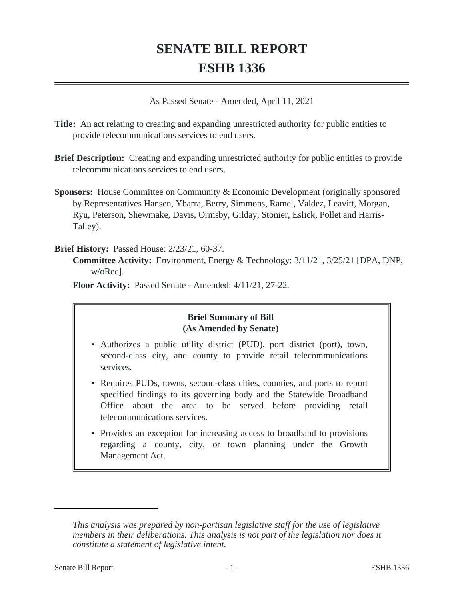# **SENATE BILL REPORT ESHB 1336**

As Passed Senate - Amended, April 11, 2021

- **Title:** An act relating to creating and expanding unrestricted authority for public entities to provide telecommunications services to end users.
- **Brief Description:** Creating and expanding unrestricted authority for public entities to provide telecommunications services to end users.
- **Sponsors:** House Committee on Community & Economic Development (originally sponsored by Representatives Hansen, Ybarra, Berry, Simmons, Ramel, Valdez, Leavitt, Morgan, Ryu, Peterson, Shewmake, Davis, Ormsby, Gilday, Stonier, Eslick, Pollet and Harris-Talley).

#### **Brief History:** Passed House: 2/23/21, 60-37.

**Committee Activity:** Environment, Energy & Technology: 3/11/21, 3/25/21 [DPA, DNP, w/oRec].

**Floor Activity:** Passed Senate - Amended: 4/11/21, 27-22.

## **Brief Summary of Bill (As Amended by Senate)**

- Authorizes a public utility district (PUD), port district (port), town, second-class city, and county to provide retail telecommunications services.
- Requires PUDs, towns, second-class cities, counties, and ports to report specified findings to its governing body and the Statewide Broadband Office about the area to be served before providing retail telecommunications services.
- Provides an exception for increasing access to broadband to provisions regarding a county, city, or town planning under the Growth Management Act.

*This analysis was prepared by non-partisan legislative staff for the use of legislative members in their deliberations. This analysis is not part of the legislation nor does it constitute a statement of legislative intent.*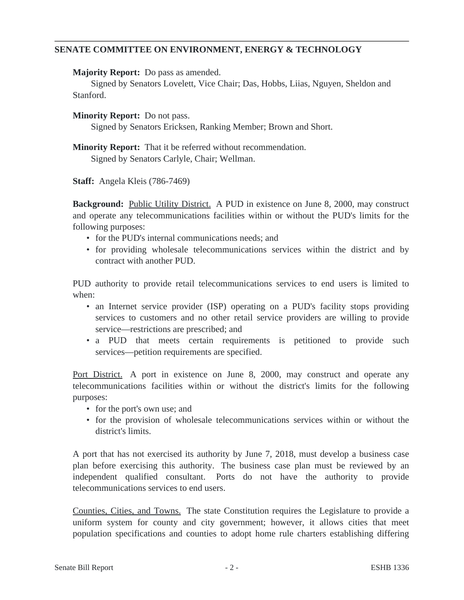### **SENATE COMMITTEE ON ENVIRONMENT, ENERGY & TECHNOLOGY**

**Majority Report:** Do pass as amended.

Signed by Senators Lovelett, Vice Chair; Das, Hobbs, Liias, Nguyen, Sheldon and Stanford.

**Minority Report:** Do not pass.

Signed by Senators Ericksen, Ranking Member; Brown and Short.

**Minority Report:** That it be referred without recommendation. Signed by Senators Carlyle, Chair; Wellman.

**Staff:** Angela Kleis (786-7469)

**Background:** Public Utility District. A PUD in existence on June 8, 2000, may construct and operate any telecommunications facilities within or without the PUD's limits for the following purposes:

- for the PUD's internal communications needs; and
- for providing wholesale telecommunications services within the district and by contract with another PUD.

PUD authority to provide retail telecommunications services to end users is limited to when:

- an Internet service provider (ISP) operating on a PUD's facility stops providing services to customers and no other retail service providers are willing to provide service—restrictions are prescribed; and
- a PUD that meets certain requirements is petitioned to provide such services—petition requirements are specified.

Port District. A port in existence on June 8, 2000, may construct and operate any telecommunications facilities within or without the district's limits for the following purposes:

- for the port's own use; and
- for the provision of wholesale telecommunications services within or without the district's limits.

A port that has not exercised its authority by June 7, 2018, must develop a business case plan before exercising this authority. The business case plan must be reviewed by an independent qualified consultant. Ports do not have the authority to provide telecommunications services to end users.

Counties, Cities, and Towns. The state Constitution requires the Legislature to provide a uniform system for county and city government; however, it allows cities that meet population specifications and counties to adopt home rule charters establishing differing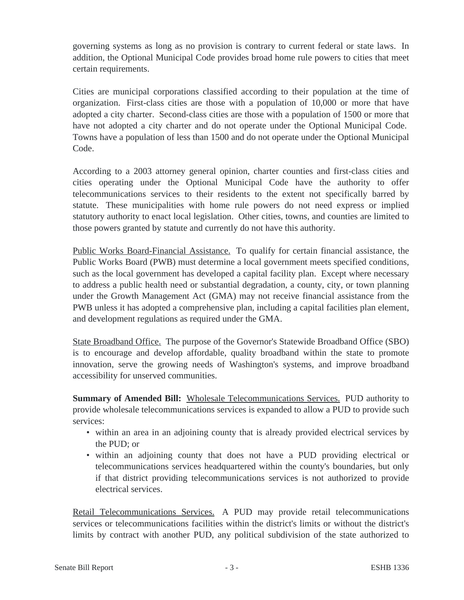governing systems as long as no provision is contrary to current federal or state laws. In addition, the Optional Municipal Code provides broad home rule powers to cities that meet certain requirements.

Cities are municipal corporations classified according to their population at the time of organization. First-class cities are those with a population of 10,000 or more that have adopted a city charter. Second-class cities are those with a population of 1500 or more that have not adopted a city charter and do not operate under the Optional Municipal Code. Towns have a population of less than 1500 and do not operate under the Optional Municipal Code.

According to a 2003 attorney general opinion, charter counties and first-class cities and cities operating under the Optional Municipal Code have the authority to offer telecommunications services to their residents to the extent not specifically barred by statute. These municipalities with home rule powers do not need express or implied statutory authority to enact local legislation. Other cities, towns, and counties are limited to those powers granted by statute and currently do not have this authority.

Public Works Board-Financial Assistance. To qualify for certain financial assistance, the Public Works Board (PWB) must determine a local government meets specified conditions, such as the local government has developed a capital facility plan. Except where necessary to address a public health need or substantial degradation, a county, city, or town planning under the Growth Management Act (GMA) may not receive financial assistance from the PWB unless it has adopted a comprehensive plan, including a capital facilities plan element, and development regulations as required under the GMA.

State Broadband Office. The purpose of the Governor's Statewide Broadband Office (SBO) is to encourage and develop affordable, quality broadband within the state to promote innovation, serve the growing needs of Washington's systems, and improve broadband accessibility for unserved communities.

**Summary of Amended Bill:** Wholesale Telecommunications Services. PUD authority to provide wholesale telecommunications services is expanded to allow a PUD to provide such services:

- within an area in an adjoining county that is already provided electrical services by the PUD; or
- within an adjoining county that does not have a PUD providing electrical or telecommunications services headquartered within the county's boundaries, but only if that district providing telecommunications services is not authorized to provide electrical services.

Retail Telecommunications Services. A PUD may provide retail telecommunications services or telecommunications facilities within the district's limits or without the district's limits by contract with another PUD, any political subdivision of the state authorized to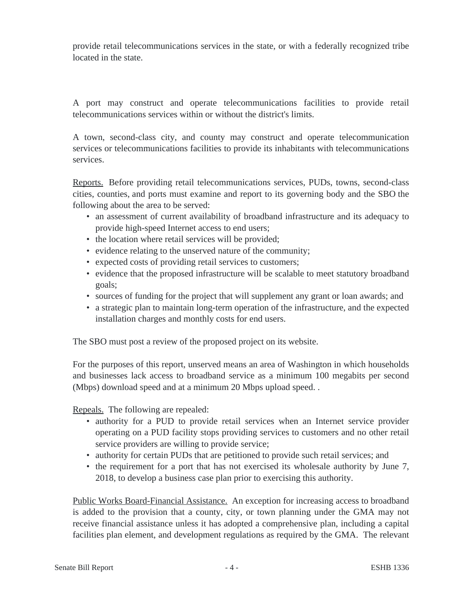provide retail telecommunications services in the state, or with a federally recognized tribe located in the state.

A port may construct and operate telecommunications facilities to provide retail telecommunications services within or without the district's limits.

A town, second-class city, and county may construct and operate telecommunication services or telecommunications facilities to provide its inhabitants with telecommunications services.

Reports. Before providing retail telecommunications services, PUDs, towns, second-class cities, counties, and ports must examine and report to its governing body and the SBO the following about the area to be served:

- an assessment of current availability of broadband infrastructure and its adequacy to provide high-speed Internet access to end users;
- the location where retail services will be provided;
- evidence relating to the unserved nature of the community;
- expected costs of providing retail services to customers;
- evidence that the proposed infrastructure will be scalable to meet statutory broadband goals;
- sources of funding for the project that will supplement any grant or loan awards; and
- a strategic plan to maintain long-term operation of the infrastructure, and the expected installation charges and monthly costs for end users.

The SBO must post a review of the proposed project on its website.

For the purposes of this report, unserved means an area of Washington in which households and businesses lack access to broadband service as a minimum 100 megabits per second (Mbps) download speed and at a minimum 20 Mbps upload speed. .

Repeals. The following are repealed:

- authority for a PUD to provide retail services when an Internet service provider operating on a PUD facility stops providing services to customers and no other retail service providers are willing to provide service;
- authority for certain PUDs that are petitioned to provide such retail services; and
- the requirement for a port that has not exercised its wholesale authority by June 7, 2018, to develop a business case plan prior to exercising this authority.

Public Works Board-Financial Assistance. An exception for increasing access to broadband is added to the provision that a county, city, or town planning under the GMA may not receive financial assistance unless it has adopted a comprehensive plan, including a capital facilities plan element, and development regulations as required by the GMA. The relevant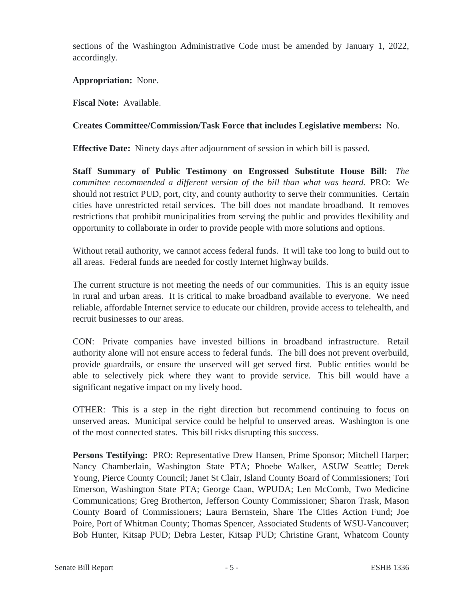sections of the Washington Administrative Code must be amended by January 1, 2022, accordingly.

### **Appropriation:** None.

**Fiscal Note:** Available.

## **Creates Committee/Commission/Task Force that includes Legislative members:** No.

**Effective Date:** Ninety days after adjournment of session in which bill is passed.

**Staff Summary of Public Testimony on Engrossed Substitute House Bill:** *The committee recommended a different version of the bill than what was heard.* PRO: We should not restrict PUD, port, city, and county authority to serve their communities. Certain cities have unrestricted retail services. The bill does not mandate broadband. It removes restrictions that prohibit municipalities from serving the public and provides flexibility and opportunity to collaborate in order to provide people with more solutions and options.

Without retail authority, we cannot access federal funds. It will take too long to build out to all areas. Federal funds are needed for costly Internet highway builds.

The current structure is not meeting the needs of our communities. This is an equity issue in rural and urban areas. It is critical to make broadband available to everyone. We need reliable, affordable Internet service to educate our children, provide access to telehealth, and recruit businesses to our areas.

CON: Private companies have invested billions in broadband infrastructure. Retail authority alone will not ensure access to federal funds. The bill does not prevent overbuild, provide guardrails, or ensure the unserved will get served first. Public entities would be able to selectively pick where they want to provide service. This bill would have a significant negative impact on my lively hood.

OTHER: This is a step in the right direction but recommend continuing to focus on unserved areas. Municipal service could be helpful to unserved areas. Washington is one of the most connected states. This bill risks disrupting this success.

**Persons Testifying:** PRO: Representative Drew Hansen, Prime Sponsor; Mitchell Harper; Nancy Chamberlain, Washington State PTA; Phoebe Walker, ASUW Seattle; Derek Young, Pierce County Council; Janet St Clair, Island County Board of Commissioners; Tori Emerson, Washington State PTA; George Caan, WPUDA; Len McComb, Two Medicine Communications; Greg Brotherton, Jefferson County Commissioner; Sharon Trask, Mason County Board of Commissioners; Laura Bernstein, Share The Cities Action Fund; Joe Poire, Port of Whitman County; Thomas Spencer, Associated Students of WSU-Vancouver; Bob Hunter, Kitsap PUD; Debra Lester, Kitsap PUD; Christine Grant, Whatcom County